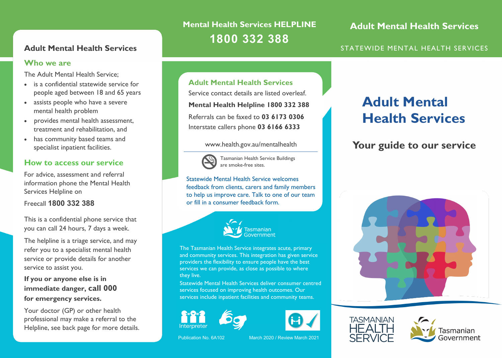### **Who we are**

The Adult Mental Health Service;

- is a confidential statewide service for people aged between 18 and 65 years
- assists people who have a severe mental health problem
- provides mental health assessment, treatment and rehabilitation, and
- has community based teams and specialist inpatient facilities.

### **How to access our service**

For advice, assessment and referral information phone the Mental Health Services Helpline on

Freecall **1800 332 388**

This is a confidential phone service that you can call 24 hours, 7 days a week.

The helpline is a triage service, and may refer you to a specialist mental health service or provide details for another service to assist you.

### **If you or anyone else is in immediate danger, call 000 for emergency services.**

Your doctor (GP) or other health professional may make a referral to the Helpline, see back page for more details.

# **Mental Health Services HELPLINE 1800 332 388**

**Adult Mental Health Services**

### **Adult Mental Health Services** STATEWIDE MENTAL HEALTH SERVICES

## **Adult Mental Health Services**

Service contact details are listed overleaf. **Mental Health Helpline 1800 332 388** Referrals can be faxed to **03 6173 0306** Interstate callers phone **03 6166 6333**

### www.health.gov.au/mentalhealth



Tasmanian Health Service Buildings are smoke-free sites.

Statewide Mental Health Service welcomes feedback from clients, carers and family members to help us improve care. Talk to one of our team or fill in a consumer feedback form.



The Tasmanian Health Service integrates acute, primary and community services. This integration has given service providers the flexibility to ensure people have the best services we can provide, as close as possible to where they live.

Statewide Mental Health Services deliver consumer centred services focused on improving health outcomes. Our services include inpatient facilities and community teams.



Publication No. 6A102 March 2020 / Review March 2021

# **Adult Mental Health Services**

# **Your guide to our service**